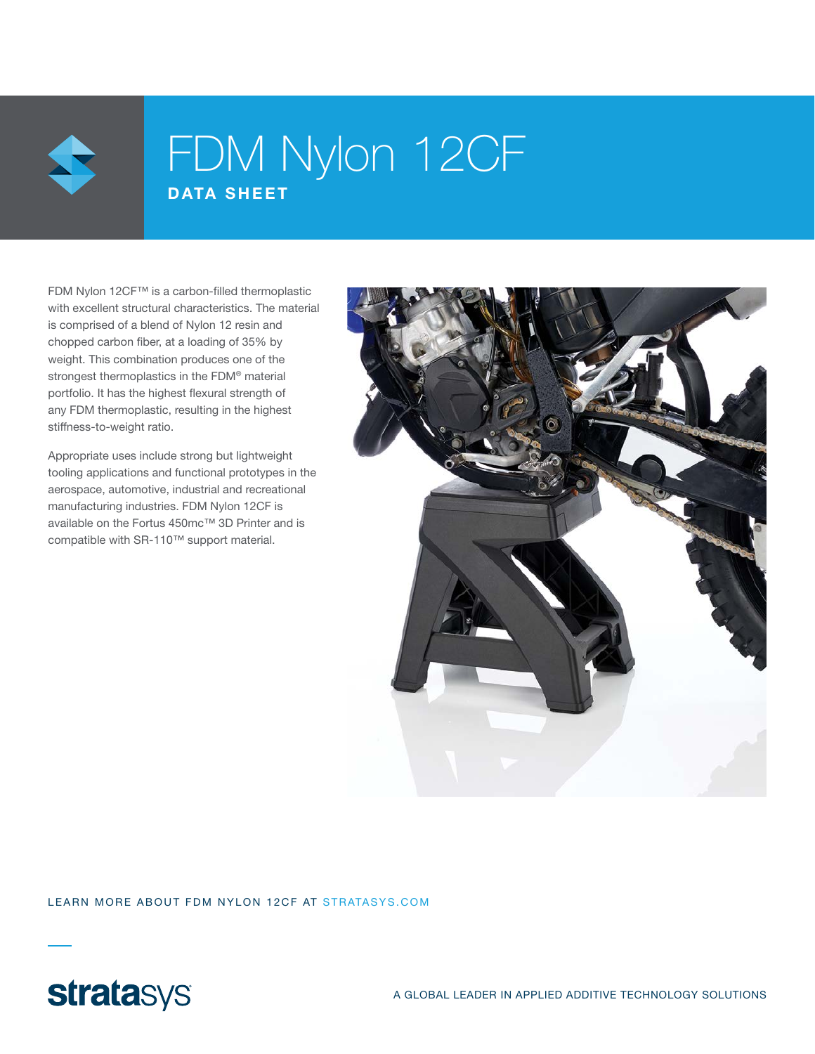

## FDM Nylon 12CF DATA SHEET

FDM Nylon 12CF™ is a carbon-filled thermoplastic with excellent structural characteristics. The material is comprised of a blend of Nylon 12 resin and chopped carbon fiber, at a loading of 35% by weight. This combination produces one of the strongest thermoplastics in the FDM® material portfolio. It has the highest flexural strength of any FDM thermoplastic, resulting in the highest stiffness-to-weight ratio.

Appropriate uses include strong but lightweight tooling applications and functional prototypes in the aerospace, automotive, industrial and recreational manufacturing industries. FDM Nylon 12CF is available on the Fortus 450mc™ 3D Printer and is compatible with SR-110™ support material.



LEARN MORE ABOUT FDM NYLON 12CF AT STRATASYS.COM

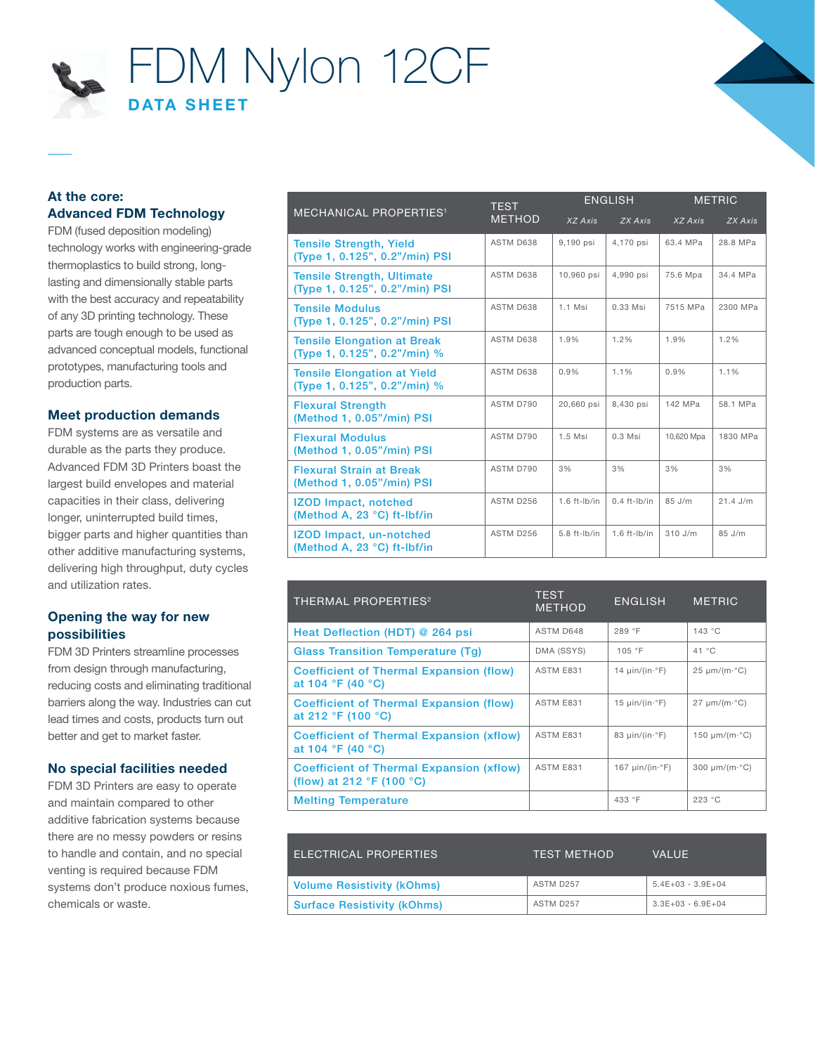

#### At the core: Advanced FDM Technology

FDM (fused deposition modeling) technology works with engineering-grade thermoplastics to build strong, longlasting and dimensionally stable parts with the best accuracy and repeatability of any 3D printing technology. These parts are tough enough to be used as advanced conceptual models, functional prototypes, manufacturing tools and production parts.

#### Meet production demands

FDM systems are as versatile and durable as the parts they produce. Advanced FDM 3D Printers boast the largest build envelopes and material capacities in their class, delivering longer, uninterrupted build times, bigger parts and higher quantities than other additive manufacturing systems, delivering high throughput, duty cycles and utilization rates.

#### Opening the way for new possibilities

FDM 3D Printers streamline processes from design through manufacturing, reducing costs and eliminating traditional barriers along the way. Industries can cut lead times and costs, products turn out better and get to market faster.

#### No special facilities needed

FDM 3D Printers are easy to operate and maintain compared to other additive fabrication systems because there are no messy powders or resins to handle and contain, and no special venting is required because FDM systems don't produce noxious fumes, chemicals or waste.

|                                                                     | <b>TEST</b><br><b>METHOD</b> | <b>ENGLISH</b>    |                   | <b>METRIC</b> |            |
|---------------------------------------------------------------------|------------------------------|-------------------|-------------------|---------------|------------|
| <b>MECHANICAL PROPERTIES<sup>1</sup></b>                            |                              | XZ Axis           | ZX Axis           | XZ Axis       | ZX Axis    |
| <b>Tensile Strength, Yield</b><br>(Type 1, 0.125", 0.2"/min) PSI    | ASTM D638                    | 9,190 psi         | 4,170 psi         | 63.4 MPa      | 28.8 MPa   |
| <b>Tensile Strength, Ultimate</b><br>(Type 1, 0.125", 0.2"/min) PSI | ASTM D638                    | 10,960 psi        | 4,990 psi         | 75.6 Mpa      | 34.4 MPa   |
| <b>Tensile Modulus</b><br>(Type 1, 0.125", 0.2"/min) PSI            | ASTM D638                    | $1.1$ Msi         | $0.33$ Msi        | 7515 MPa      | 2300 MPa   |
| <b>Tensile Elongation at Break</b><br>(Type 1, 0.125", 0.2"/min) %  | ASTM D638                    | 1.9%              | 1.2%              | 1.9%          | 1.2%       |
| <b>Tensile Elongation at Yield</b><br>(Type 1, 0.125", 0.2"/min) %  | ASTM D638                    | 0.9%              | 1.1%              | 0.9%          | 1.1%       |
| <b>Flexural Strength</b><br>(Method 1, 0.05"/min) PSI               | ASTM D790                    | 20.660 psi        | 8.430 psi         | 142 MPa       | 58.1 MPa   |
| <b>Flexural Modulus</b><br>(Method 1, 0.05"/min) PSI                | ASTM D790                    | $1.5$ Msi         | $0.3$ Msi         | 10,620 Mpa    | 1830 MPa   |
| <b>Flexural Strain at Break</b><br>(Method 1, 0.05"/min) PSI        | ASTM D790                    | 3%                | 3%                | 3%            | 3%         |
| <b>IZOD Impact, notched</b><br>(Method A, 23 °C) ft-lbf/in          | ASTM D256                    | $1.6$ ft-lb/in    | $0.4$ ft- $lb/in$ | $85$ J/m      | $21.4$ J/m |
| <b>IZOD Impact, un-notched</b><br>(Method A, 23 °C) ft-lbf/in       | ASTM D256                    | $5.8$ ft- $Ib/in$ | $1.6$ ft-lb/in    | $310$ J/m     | $85$ J/m   |

| <b>THERMAL PROPERTIES<sup>2</sup></b>                                                          | <b>TEST</b><br><b>METHOD</b> | <b>ENGLISH</b>                 | <b>METRIC</b>                   |
|------------------------------------------------------------------------------------------------|------------------------------|--------------------------------|---------------------------------|
| Heat Deflection (HDT) @ 264 psi                                                                | ASTM D648                    | 289 °F                         | 143 °C                          |
| <b>Glass Transition Temperature (Tg)</b>                                                       | DMA (SSYS)                   | 105 °F                         | 41 °C                           |
| <b>Coefficient of Thermal Expansion (flow)</b><br>at 104 °F (40 °C)                            | ASTM E831                    | 14 $\mu$ in/(in· $\degree$ F)  | $25 \mu m/(m \cdot ^{\circ}C)$  |
| <b>Coefficient of Thermal Expansion (flow)</b><br>at 212 °F (100 °C)                           | ASTM E831                    | 15 $\mu$ in/(in· $\degree$ F)  | $27 \mu m/(m \cdot ^{\circ}C)$  |
| <b>Coefficient of Thermal Expansion (xflow)</b><br>at 104 °F (40 °C)                           | ASTM E831                    | 83 $\mu$ in/(in· $\degree$ F)  | 150 $\mu$ m/(m· $^{\circ}$ C)   |
| <b>Coefficient of Thermal Expansion (xflow)</b><br>(flow) at 212 $\degree$ F (100 $\degree$ C) | ASTM E831                    | 167 $\mu$ in/(in· $\degree$ F) | $300 \mu m/(m \cdot ^{\circ}C)$ |
| <b>Melting Temperature</b>                                                                     |                              | 433 °F                         | 223 °C                          |

| ELECTRICAL PROPERTIES              | <b>TEST METHOD</b> | <b>VALUE</b>        |
|------------------------------------|--------------------|---------------------|
| <b>Volume Resistivity (kOhms)</b>  | ASTM D257          | $5.4E+03 - 3.9E+04$ |
| <b>Surface Resistivity (kOhms)</b> | ASTM D257          | $3.3E+03 - 6.9E+04$ |